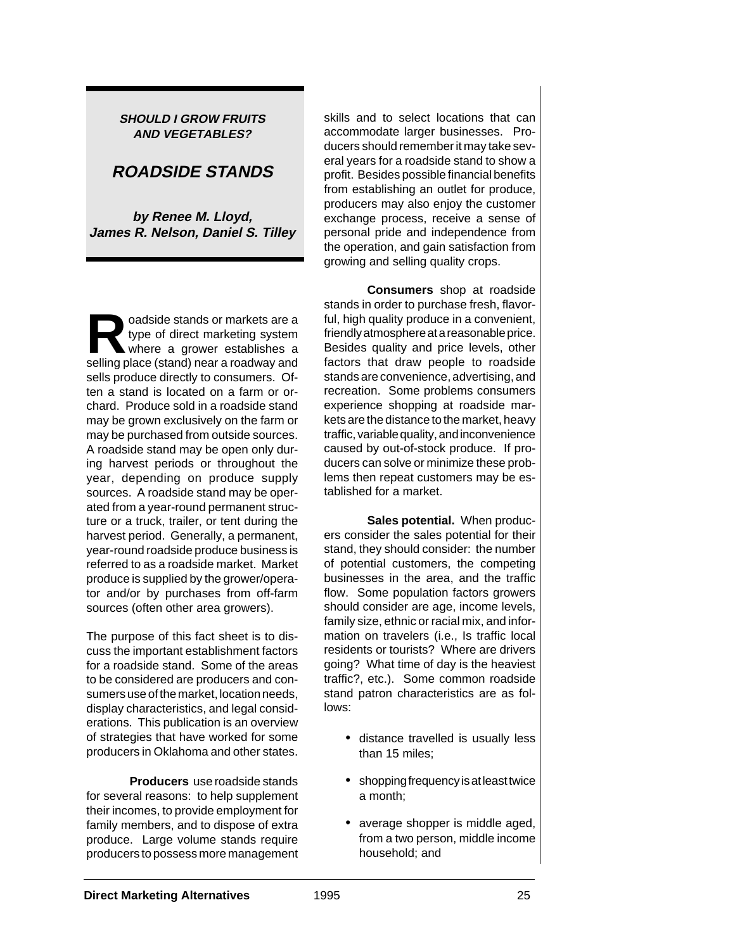### **SHOULD I GROW FRUITS AND VEGETABLES?**

# **ROADSIDE STANDS**

**by Renee M. Lloyd, James R. Nelson, Daniel S. Tilley**

**Roadside stands or markets are a**<br>type of direct marketing system<br>where a grower establishes a type of direct marketing system selling place (stand) near a roadway and sells produce directly to consumers. Often a stand is located on a farm or orchard. Produce sold in a roadside stand may be grown exclusively on the farm or may be purchased from outside sources. A roadside stand may be open only during harvest periods or throughout the year, depending on produce supply sources. A roadside stand may be operated from a year-round permanent structure or a truck, trailer, or tent during the harvest period. Generally, a permanent, year-round roadside produce business is referred to as a roadside market. Market produce is supplied by the grower/operator and/or by purchases from off-farm sources (often other area growers).

The purpose of this fact sheet is to discuss the important establishment factors for a roadside stand. Some of the areas to be considered are producers and consumers use of the market, location needs, display characteristics, and legal considerations. This publication is an overview of strategies that have worked for some producers in Oklahoma and other states.

**Producers** use roadside stands for several reasons: to help supplement their incomes, to provide employment for family members, and to dispose of extra produce. Large volume stands require producers to possess more management

skills and to select locations that can accommodate larger businesses. Producers should remember it may take several years for a roadside stand to show a profit. Besides possible financial benefits from establishing an outlet for produce, producers may also enjoy the customer exchange process, receive a sense of personal pride and independence from the operation, and gain satisfaction from growing and selling quality crops.

**Consumers** shop at roadside stands in order to purchase fresh, flavorful, high quality produce in a convenient, friendly atmosphere at a reasonable price. Besides quality and price levels, other factors that draw people to roadside stands are convenience, advertising, and recreation. Some problems consumers experience shopping at roadside markets are the distance to the market, heavy traffic, variable quality, and inconvenience caused by out-of-stock produce. If producers can solve or minimize these problems then repeat customers may be established for a market.

**Sales potential.** When producers consider the sales potential for their stand, they should consider: the number of potential customers, the competing businesses in the area, and the traffic flow. Some population factors growers should consider are age, income levels, family size, ethnic or racial mix, and information on travelers (i.e., Is traffic local residents or tourists? Where are drivers going? What time of day is the heaviest traffic?, etc.). Some common roadside stand patron characteristics are as follows:

- distance travelled is usually less than 15 miles;
- shopping frequency is at least twice a month;
- average shopper is middle aged, from a two person, middle income household; and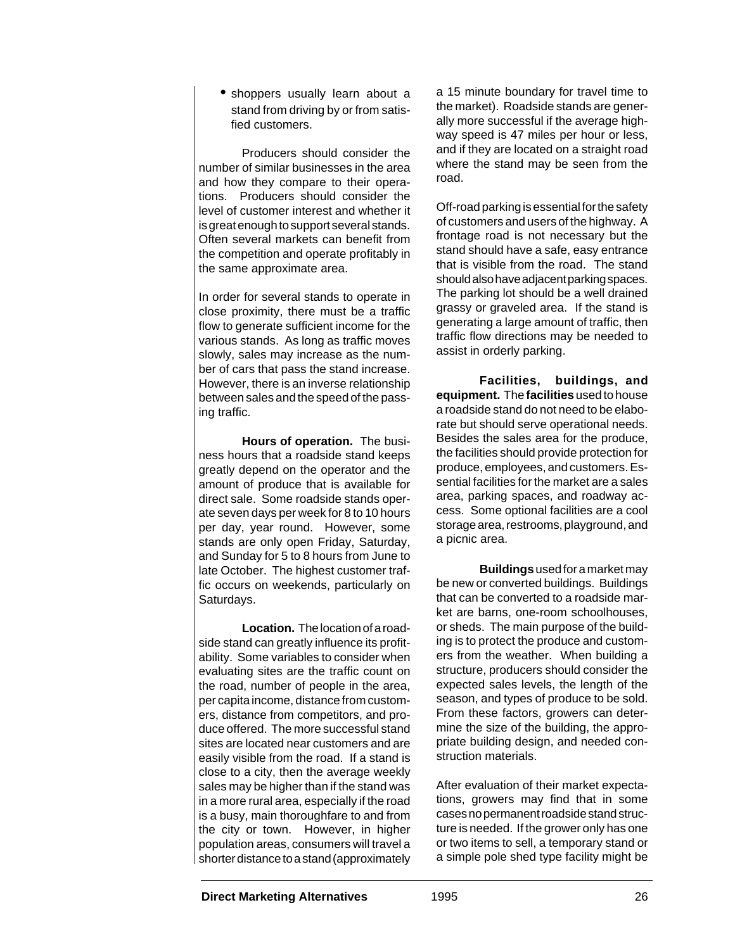• shoppers usually learn about a stand from driving by or from satisfied customers.

Producers should consider the number of similar businesses in the area and how they compare to their operations. Producers should consider the level of customer interest and whether it is great enough to support several stands. Often several markets can benefit from the competition and operate profitably in the same approximate area.

In order for several stands to operate in close proximity, there must be a traffic flow to generate sufficient income for the various stands. As long as traffic moves slowly, sales may increase as the number of cars that pass the stand increase. However, there is an inverse relationship between sales and the speed of the passing traffic.

**Hours of operation.** The business hours that a roadside stand keeps greatly depend on the operator and the amount of produce that is available for direct sale. Some roadside stands operate seven days per week for 8 to 10 hours per day, year round. However, some stands are only open Friday, Saturday, and Sunday for 5 to 8 hours from June to late October. The highest customer traffic occurs on weekends, particularly on Saturdays.

**Location.** The location of a roadside stand can greatly influence its profitability. Some variables to consider when evaluating sites are the traffic count on the road, number of people in the area, per capita income, distance from customers, distance from competitors, and produce offered. The more successful stand sites are located near customers and are easily visible from the road. If a stand is close to a city, then the average weekly sales may be higher than if the stand was in a more rural area, especially if the road is a busy, main thoroughfare to and from the city or town. However, in higher population areas, consumers will travel a shorter distance to a stand (approximately

a 15 minute boundary for travel time to the market). Roadside stands are generally more successful if the average highway speed is 47 miles per hour or less, and if they are located on a straight road where the stand may be seen from the road.

Off-road parking is essential for the safety of customers and users of the highway. A frontage road is not necessary but the stand should have a safe, easy entrance that is visible from the road. The stand should also have adjacent parking spaces. The parking lot should be a well drained grassy or graveled area. If the stand is generating a large amount of traffic, then traffic flow directions may be needed to assist in orderly parking.

**Facilities, buildings, and equipment.** The **facilities** used to house a roadside stand do not need to be elaborate but should serve operational needs. Besides the sales area for the produce, the facilities should provide protection for produce, employees, and customers. Essential facilities for the market are a sales area, parking spaces, and roadway access. Some optional facilities are a cool storage area, restrooms, playground, and a picnic area.

**Buildings** used for a market may be new or converted buildings. Buildings that can be converted to a roadside market are barns, one-room schoolhouses or sheds. The main purpose of the building is to protect the produce and customers from the weather. When building a structure, producers should consider the expected sales levels, the length of the season, and types of produce to be sold. From these factors, growers can determine the size of the building, the appropriate building design, and needed construction materials.

After evaluation of their market expectations, growers may find that in some cases no permanent roadside stand structure is needed. If the grower only has one or two items to sell, a temporary stand or a simple pole shed type facility might be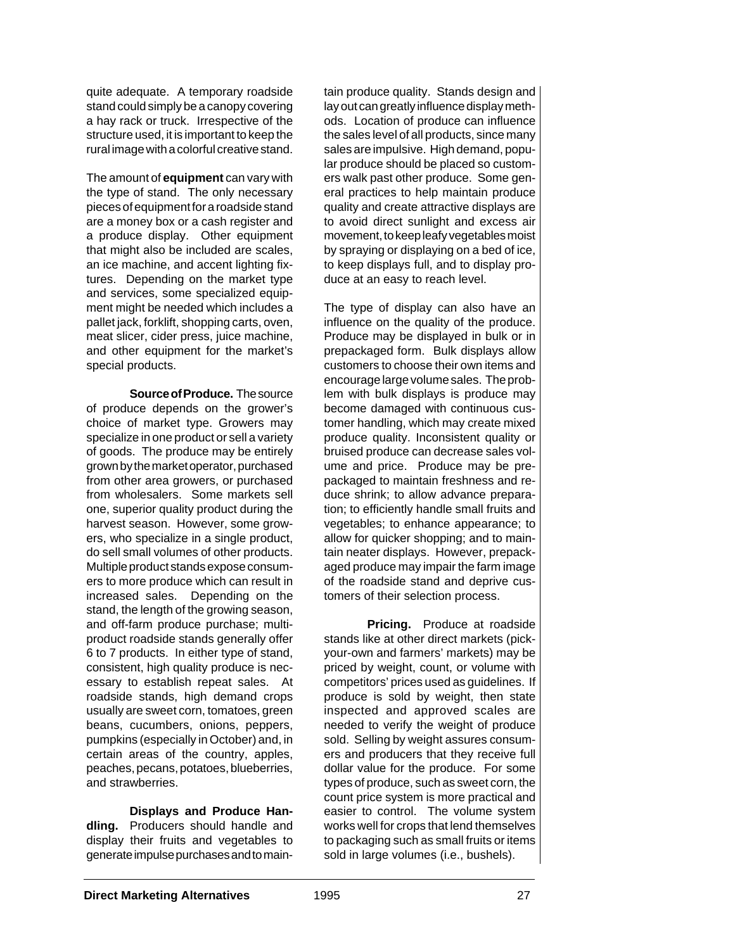quite adequate. A temporary roadside stand could simply be a canopy covering a hay rack or truck. Irrespective of the structure used, it is important to keep the rural image with a colorful creative stand.

The amount of **equipment** can vary with the type of stand. The only necessary pieces of equipment for a roadside stand are a money box or a cash register and a produce display. Other equipment that might also be included are scales, an ice machine, and accent lighting fixtures. Depending on the market type and services, some specialized equipment might be needed which includes a pallet jack, forklift, shopping carts, oven, meat slicer, cider press, juice machine, and other equipment for the market's special products.

**Source of Produce.** The source of produce depends on the grower's choice of market type. Growers may specialize in one product or sell a variety of goods. The produce may be entirely grown by the market operator, purchased from other area growers, or purchased from wholesalers. Some markets sell one, superior quality product during the harvest season. However, some growers, who specialize in a single product, do sell small volumes of other products. Multiple product stands expose consumers to more produce which can result in increased sales. Depending on the stand, the length of the growing season, and off-farm produce purchase; multiproduct roadside stands generally offer 6 to 7 products. In either type of stand, consistent, high quality produce is necessary to establish repeat sales. At roadside stands, high demand crops usually are sweet corn, tomatoes, green beans, cucumbers, onions, peppers, pumpkins (especially in October) and, in certain areas of the country, apples, peaches, pecans, potatoes, blueberries, and strawberries.

**Displays and Produce Handling.** Producers should handle and display their fruits and vegetables to generate impulse purchases and to maintain produce quality. Stands design and lay out can greatly influence display methods. Location of produce can influence the sales level of all products, since many sales are impulsive. High demand, popular produce should be placed so customers walk past other produce. Some general practices to help maintain produce quality and create attractive displays are to avoid direct sunlight and excess air movement, to keep leafy vegetables moist by spraying or displaying on a bed of ice, to keep displays full, and to display produce at an easy to reach level.

The type of display can also have an influence on the quality of the produce. Produce may be displayed in bulk or in prepackaged form. Bulk displays allow customers to choose their own items and encourage large volume sales. The problem with bulk displays is produce may become damaged with continuous customer handling, which may create mixed produce quality. Inconsistent quality or bruised produce can decrease sales volume and price. Produce may be prepackaged to maintain freshness and reduce shrink; to allow advance preparation; to efficiently handle small fruits and vegetables; to enhance appearance; to allow for quicker shopping; and to maintain neater displays. However, prepackaged produce may impair the farm image of the roadside stand and deprive customers of their selection process.

**Pricing.** Produce at roadside stands like at other direct markets (pickyour-own and farmers' markets) may be priced by weight, count, or volume with competitors' prices used as guidelines. If produce is sold by weight, then state inspected and approved scales are needed to verify the weight of produce sold. Selling by weight assures consumers and producers that they receive full dollar value for the produce. For some types of produce, such as sweet corn, the count price system is more practical and easier to control. The volume system works well for crops that lend themselves to packaging such as small fruits or items sold in large volumes (i.e., bushels).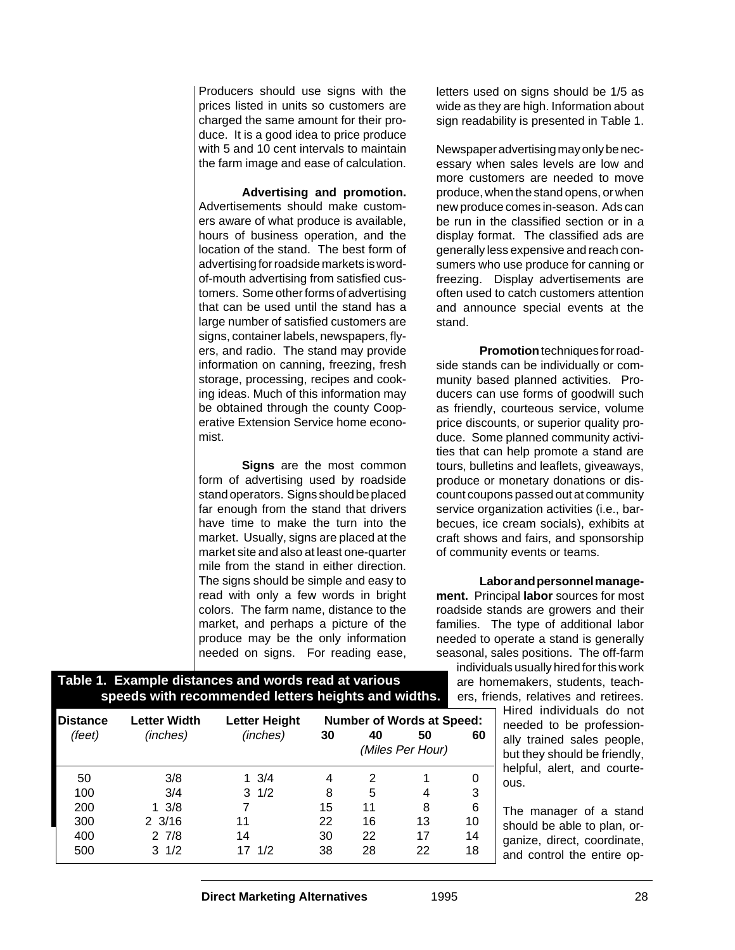Producers should use signs with the prices listed in units so customers are charged the same amount for their produce. It is a good idea to price produce with 5 and 10 cent intervals to maintain the farm image and ease of calculation.

**Advertising and promotion.** Advertisements should make customers aware of what produce is available, hours of business operation, and the location of the stand. The best form of advertising for roadside markets is wordof-mouth advertising from satisfied customers. Some other forms of advertising that can be used until the stand has a large number of satisfied customers are signs, container labels, newspapers, flyers, and radio. The stand may provide information on canning, freezing, fresh storage, processing, recipes and cooking ideas. Much of this information may be obtained through the county Cooperative Extension Service home economist.

**Signs** are the most common form of advertising used by roadside stand operators. Signs should be placed far enough from the stand that drivers have time to make the turn into the market. Usually, signs are placed at the market site and also at least one-quarter mile from the stand in either direction. The signs should be simple and easy to read with only a few words in bright colors. The farm name, distance to the market, and perhaps a picture of the produce may be the only information needed on signs. For reading ease,

letters used on signs should be 1/5 as wide as they are high. Information about sign readability is presented in Table 1.

Newspaper advertising may only be necessary when sales levels are low and more customers are needed to move produce, when the stand opens, or when new produce comes in-season. Ads can be run in the classified section or in a display format. The classified ads are generally less expensive and reach consumers who use produce for canning or freezing. Display advertisements are often used to catch customers attention and announce special events at the stand.

**Promotion** techniques for roadside stands can be individually or community based planned activities. Producers can use forms of goodwill such as friendly, courteous service, volume price discounts, or superior quality produce. Some planned community activities that can help promote a stand are tours, bulletins and leaflets, giveaways, produce or monetary donations or discount coupons passed out at community service organization activities (i.e., barbecues, ice cream socials), exhibits at craft shows and fairs, and sponsorship of community events or teams.

**Labor and personnel management.** Principal **labor** sources for most roadside stands are growers and their families. The type of additional labor needed to operate a stand is generally seasonal, sales positions. The off-farm

individuals usually hired for this work are homemakers, students, teachers, friends, relatives and retirees.

Hired individuals do not needed to be professionally trained sales people, but they should be friendly, helpful, alert, and courteous.

The manager of a stand should be able to plan, organize, direct, coordinate, and control the entire op-

(Miles Per Hour)

## **Table 1. Example distances and words read at various speeds with recommended letters heights and widths.**

**Distance Letter Width Letter Height Number of Words at Speed:** (feet) (inches) (inches) **30 40 50 60**

50 3/8 1 3/4 4 2 1 0 100 3/4 3 1/2 8 5 4 3 200 1 3/8 7 15 11 8 6 300 2 3/16 11 22 16 13 10 400 2 7/8 14 30 22 17 14 500 3 1/2 17 1/2 38 28 22 18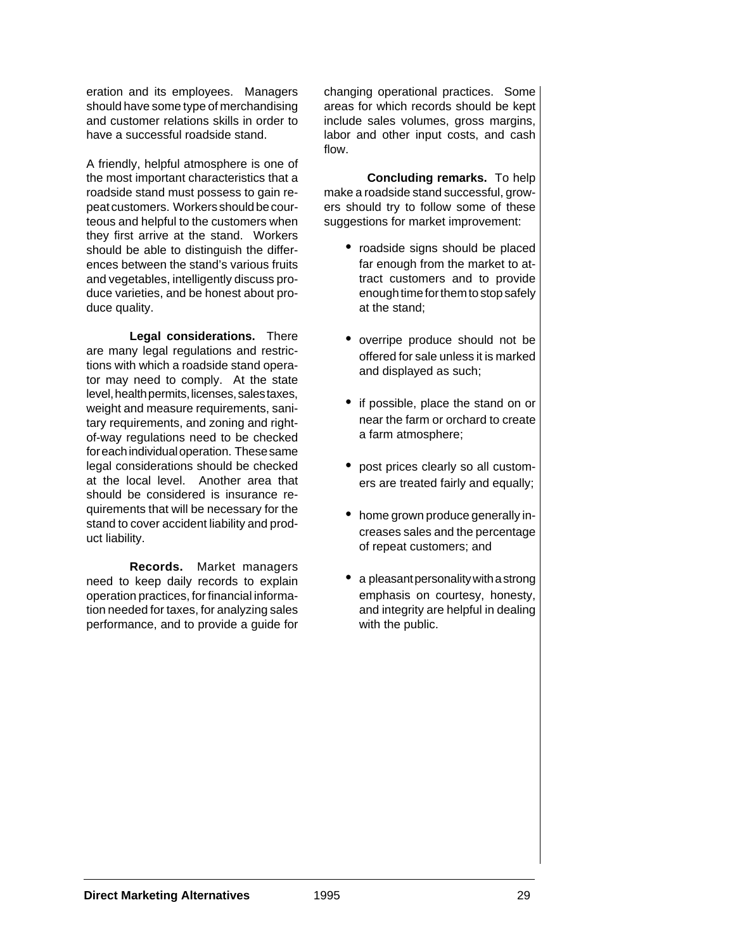eration and its employees. Managers should have some type of merchandising and customer relations skills in order to have a successful roadside stand.

A friendly, helpful atmosphere is one of the most important characteristics that a roadside stand must possess to gain repeat customers. Workers should be courteous and helpful to the customers when they first arrive at the stand. Workers should be able to distinguish the differences between the stand's various fruits and vegetables, intelligently discuss produce varieties, and be honest about produce quality.

**Legal considerations.** There are many legal regulations and restrictions with which a roadside stand operator may need to comply. At the state level, health permits, licenses, sales taxes, weight and measure requirements, sanitary requirements, and zoning and rightof-way regulations need to be checked for each individual operation. These same legal considerations should be checked at the local level. Another area that should be considered is insurance requirements that will be necessary for the stand to cover accident liability and product liability.

**Records.** Market managers need to keep daily records to explain operation practices, for financial information needed for taxes, for analyzing sales performance, and to provide a guide for changing operational practices. Some areas for which records should be kept include sales volumes, gross margins, labor and other input costs, and cash flow.

**Concluding remarks.** To help make a roadside stand successful, growers should try to follow some of these suggestions for market improvement:

- roadside signs should be placed far enough from the market to attract customers and to provide enough time for them to stop safely at the stand;
- overripe produce should not be offered for sale unless it is marked and displayed as such;
- if possible, place the stand on or near the farm or orchard to create a farm atmosphere;
- post prices clearly so all customers are treated fairly and equally;
- home grown produce generally increases sales and the percentage of repeat customers; and
- a pleasant personality with a strong emphasis on courtesy, honesty, and integrity are helpful in dealing with the public.